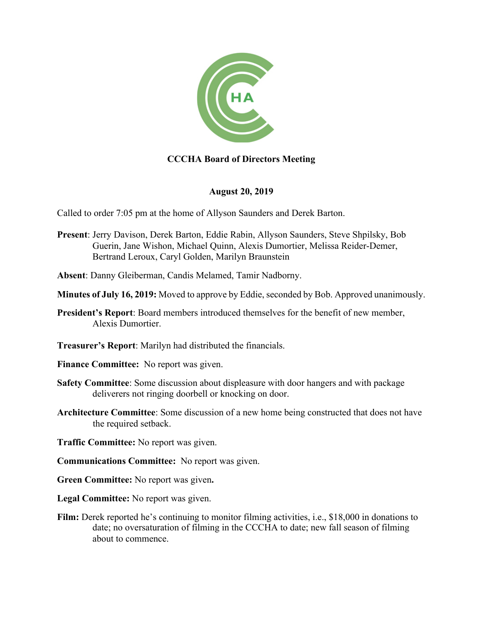

## **CCCHA Board of Directors Meeting**

## **August 20, 2019**

Called to order 7:05 pm at the home of Allyson Saunders and Derek Barton.

- **Present**: Jerry Davison, Derek Barton, Eddie Rabin, Allyson Saunders, Steve Shpilsky, Bob Guerin, Jane Wishon, Michael Quinn, Alexis Dumortier, Melissa Reider-Demer, Bertrand Leroux, Caryl Golden, Marilyn Braunstein
- **Absent**: Danny Gleiberman, Candis Melamed, Tamir Nadborny.
- **Minutes of July 16, 2019:** Moved to approve by Eddie, seconded by Bob. Approved unanimously.
- **President's Report**: Board members introduced themselves for the benefit of new member, Alexis Dumortier.
- **Treasurer's Report**: Marilyn had distributed the financials.
- **Finance Committee:** No report was given.
- **Safety Committee**: Some discussion about displeasure with door hangers and with package deliverers not ringing doorbell or knocking on door.
- **Architecture Committee**: Some discussion of a new home being constructed that does not have the required setback.
- **Traffic Committee:** No report was given.
- **Communications Committee:** No report was given.
- **Green Committee:** No report was given**.**
- **Legal Committee:** No report was given.
- **Film:** Derek reported he's continuing to monitor filming activities, i.e., \$18,000 in donations to date; no oversaturation of filming in the CCCHA to date; new fall season of filming about to commence.